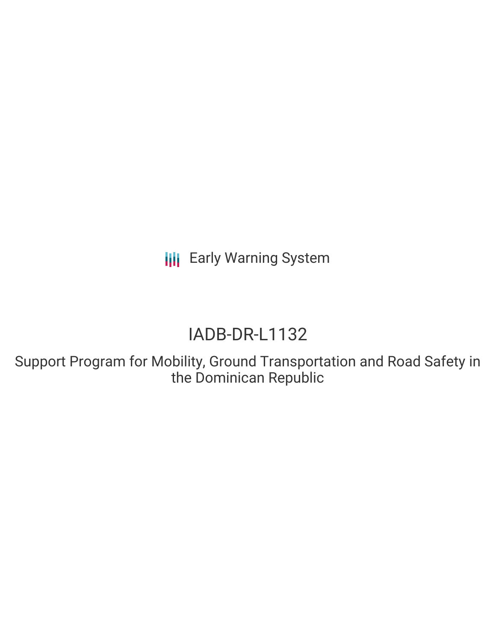**III** Early Warning System

# IADB-DR-L1132

Support Program for Mobility, Ground Transportation and Road Safety in the Dominican Republic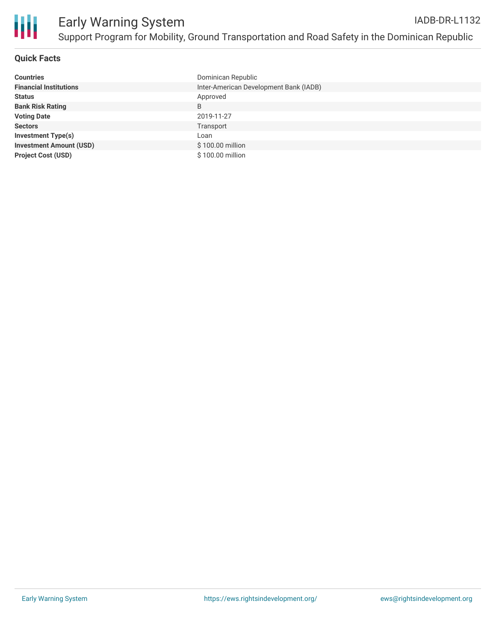

## **Quick Facts**

| <b>Countries</b>               | Dominican Republic                     |
|--------------------------------|----------------------------------------|
| <b>Financial Institutions</b>  | Inter-American Development Bank (IADB) |
| <b>Status</b>                  | Approved                               |
| <b>Bank Risk Rating</b>        | B                                      |
| <b>Voting Date</b>             | 2019-11-27                             |
| <b>Sectors</b>                 | Transport                              |
| <b>Investment Type(s)</b>      | Loan                                   |
| <b>Investment Amount (USD)</b> | \$100.00 million                       |
| <b>Project Cost (USD)</b>      | \$100.00 million                       |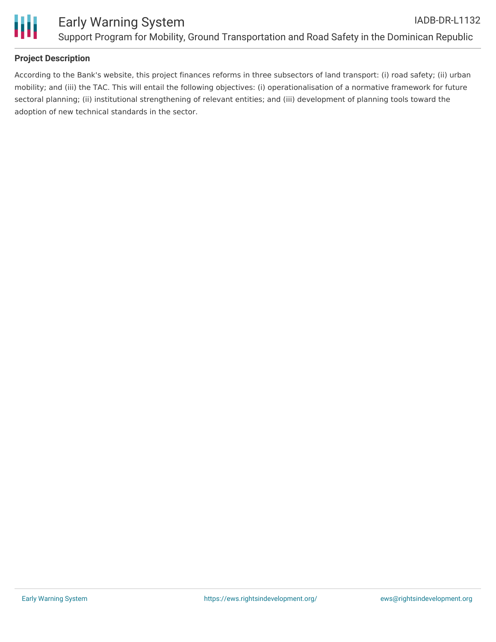

# **Project Description**

According to the Bank's website, this project finances reforms in three subsectors of land transport: (i) road safety; (ii) urban mobility; and (iii) the TAC. This will entail the following objectives: (i) operationalisation of a normative framework for future sectoral planning; (ii) institutional strengthening of relevant entities; and (iii) development of planning tools toward the adoption of new technical standards in the sector.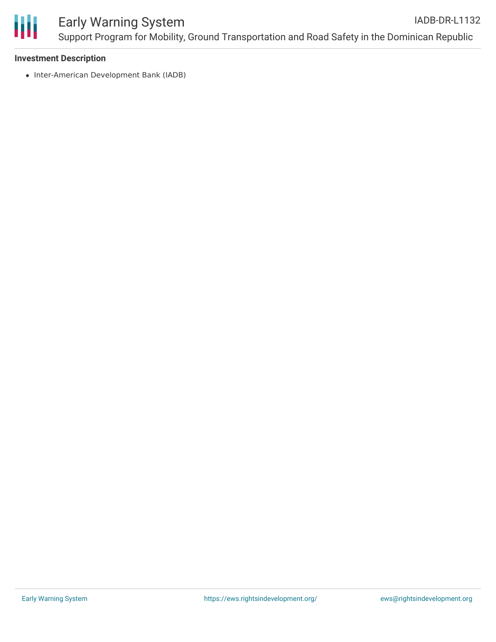

### **Investment Description**

• Inter-American Development Bank (IADB)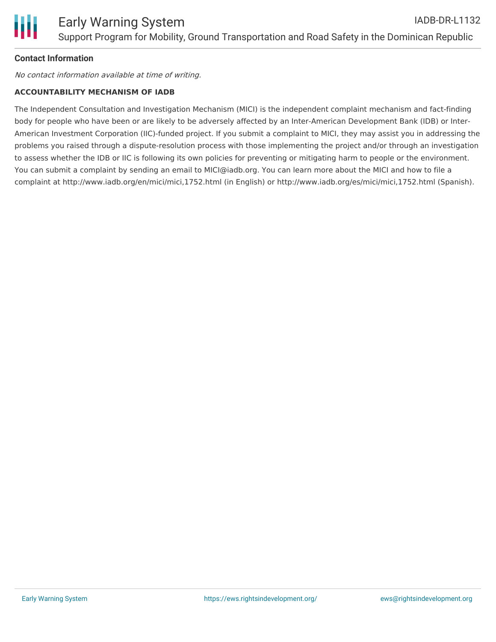# **Contact Information**

No contact information available at time of writing.

### **ACCOUNTABILITY MECHANISM OF IADB**

The Independent Consultation and Investigation Mechanism (MICI) is the independent complaint mechanism and fact-finding body for people who have been or are likely to be adversely affected by an Inter-American Development Bank (IDB) or Inter-American Investment Corporation (IIC)-funded project. If you submit a complaint to MICI, they may assist you in addressing the problems you raised through a dispute-resolution process with those implementing the project and/or through an investigation to assess whether the IDB or IIC is following its own policies for preventing or mitigating harm to people or the environment. You can submit a complaint by sending an email to MICI@iadb.org. You can learn more about the MICI and how to file a complaint at http://www.iadb.org/en/mici/mici,1752.html (in English) or http://www.iadb.org/es/mici/mici,1752.html (Spanish).